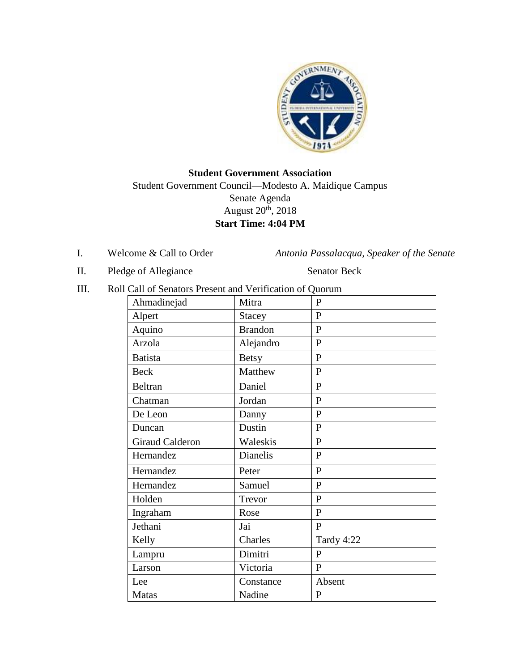

# **Student Government Association**  Student Government Council—Modesto A. Maidique Campus Senate Agenda August 20th, 2018 **Start Time: 4:04 PM**

I. Welcome & Call to Order *Antonia Passalacqua, Speaker of the Senate* 

II. Pledge of Allegiance Senator Beck

III. Roll Call of Senators Present and Verification of Quorum

| Ahmadinejad            | Mitra          | $\mathbf{P}$ |
|------------------------|----------------|--------------|
| Alpert                 | Stacey         | $\mathbf P$  |
| Aquino                 | <b>Brandon</b> | $\mathbf{P}$ |
| Arzola                 | Alejandro      | $\mathbf P$  |
| <b>Batista</b>         | <b>Betsy</b>   | $\mathbf{P}$ |
| <b>Beck</b>            | Matthew        | $\mathbf{P}$ |
| <b>Beltran</b>         | Daniel         | ${\bf P}$    |
| Chatman                | Jordan         | $\mathbf{P}$ |
| De Leon                | Danny          | $\mathbf{P}$ |
| Duncan                 | Dustin         | ${\bf P}$    |
| <b>Giraud Calderon</b> | Waleskis       | ${\bf P}$    |
| Hernandez              | Dianelis       | $\mathbf{P}$ |
| Hernandez              | Peter          | $\mathbf{P}$ |
| Hernandez              | Samuel         | ${\bf P}$    |
| Holden                 | Trevor         | $\mathbf{P}$ |
| Ingraham               | Rose           | $\mathbf{P}$ |
| Jethani                | Jai            | $\mathbf{P}$ |
| Kelly                  | Charles        | Tardy 4:22   |
| Lampru                 | Dimitri        | $\mathbf{P}$ |
| Larson                 | Victoria       | $\mathbf{P}$ |
| Lee                    | Constance      | Absent       |
| Matas                  | Nadine         | P            |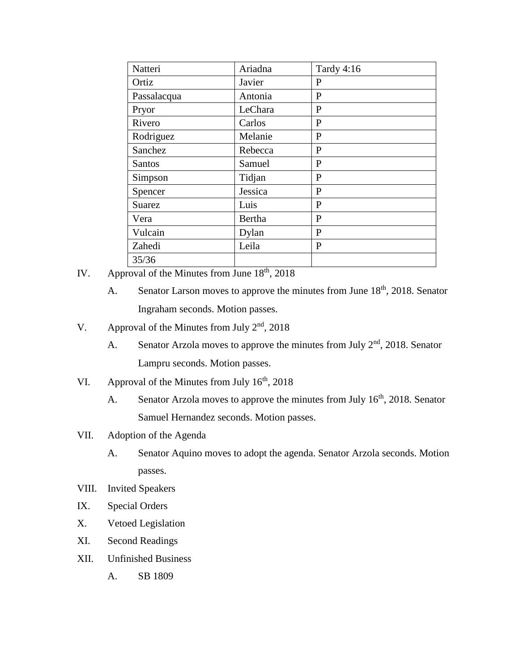| Natteri       | Ariadna | <b>Tardy 4:16</b> |
|---------------|---------|-------------------|
| Ortiz         | Javier  | P                 |
| Passalacqua   | Antonia | P                 |
| Pryor         | LeChara | P                 |
| Rivero        | Carlos  | $\mathbf{P}$      |
| Rodriguez     | Melanie | $\mathbf{P}$      |
| Sanchez       | Rebecca | $\mathbf{P}$      |
| <b>Santos</b> | Samuel  | P                 |
| Simpson       | Tidjan  | $\mathbf{P}$      |
| Spencer       | Jessica | P                 |
| <b>Suarez</b> | Luis    | P                 |
| Vera          | Bertha  | P                 |
| Vulcain       | Dylan   | $\mathbf{P}$      |
| Zahedi        | Leila   | $\mathbf{P}$      |
| 35/36         |         |                   |

- IV. Approval of the Minutes from June  $18<sup>th</sup>$ , 2018
	- A. Senator Larson moves to approve the minutes from June  $18<sup>th</sup>$ , 2018. Senator Ingraham seconds. Motion passes.
- V. Approval of the Minutes from July  $2<sup>nd</sup>$ , 2018
	- A. Senator Arzola moves to approve the minutes from July  $2<sup>nd</sup>$ , 2018. Senator Lampru seconds. Motion passes.
- VI. Approval of the Minutes from July  $16<sup>th</sup>$ , 2018
	- A. Senator Arzola moves to approve the minutes from July 16<sup>th</sup>, 2018. Senator Samuel Hernandez seconds. Motion passes.
- VII. Adoption of the Agenda
	- A. Senator Aquino moves to adopt the agenda. Senator Arzola seconds. Motion passes.
- VIII. Invited Speakers
- IX. Special Orders
- X. Vetoed Legislation
- XI. Second Readings
- XII. Unfinished Business
	- A. SB 1809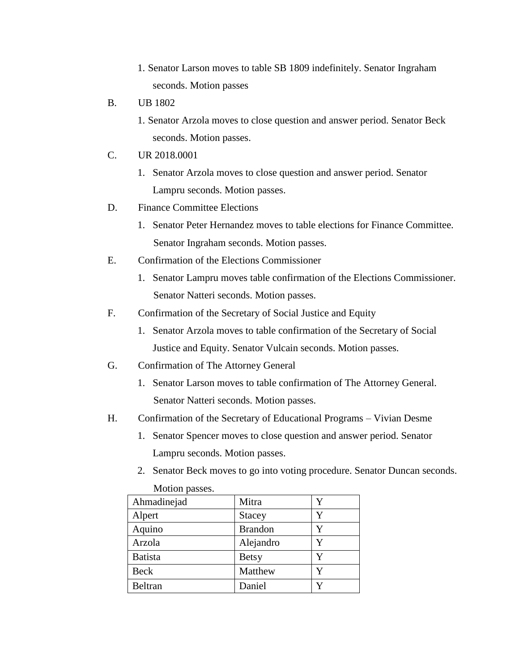- 1. Senator Larson moves to table SB 1809 indefinitely. Senator Ingraham seconds. Motion passes
- B. UB 1802
	- 1. Senator Arzola moves to close question and answer period. Senator Beck seconds. Motion passes.
- C. UR 2018.0001
	- 1. Senator Arzola moves to close question and answer period. Senator Lampru seconds. Motion passes.
- D. Finance Committee Elections
	- 1. Senator Peter Hernandez moves to table elections for Finance Committee. Senator Ingraham seconds. Motion passes.
- E. Confirmation of the Elections Commissioner
	- 1. Senator Lampru moves table confirmation of the Elections Commissioner. Senator Natteri seconds. Motion passes.
- F. Confirmation of the Secretary of Social Justice and Equity
	- 1. Senator Arzola moves to table confirmation of the Secretary of Social Justice and Equity. Senator Vulcain seconds. Motion passes.
- G. Confirmation of The Attorney General
	- 1. Senator Larson moves to table confirmation of The Attorney General. Senator Natteri seconds. Motion passes.
- H. Confirmation of the Secretary of Educational Programs Vivian Desme
	- 1. Senator Spencer moves to close question and answer period. Senator Lampru seconds. Motion passes.
	- Ahmadinejad Mitra Y Alpert Stacey Y Aquino Rrandon Y Arzola | Alejandro | Y Batista Betsy Y Beck Matthew IY Beltran Daniel Y
- 2. Senator Beck moves to go into voting procedure. Senator Duncan seconds.

Motion passes.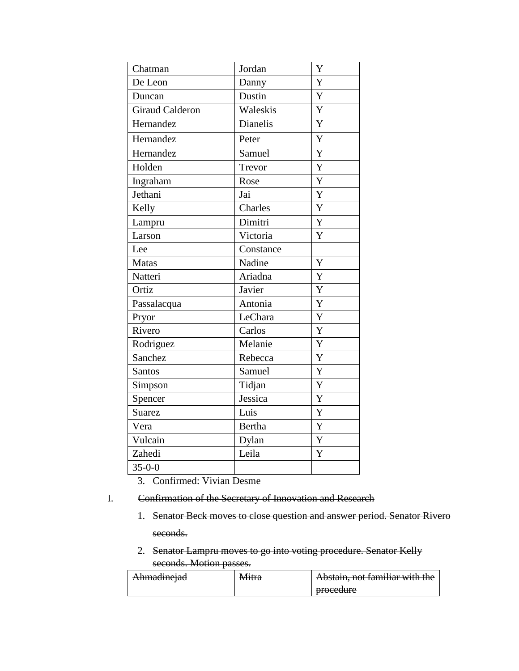| Jordan    | Y |
|-----------|---|
| Danny     | Y |
| Dustin    | Y |
| Waleskis  | Y |
| Dianelis  | Y |
| Peter     | Y |
| Samuel    | Y |
| Trevor    | Y |
| Rose      | Y |
| Jai       | Y |
| Charles   | Y |
| Dimitri   | Y |
| Victoria  | Y |
| Constance |   |
| Nadine    | Y |
| Ariadna   | Y |
| Javier    | Y |
| Antonia   | Y |
| LeChara   | Y |
| Carlos    | Y |
| Melanie   | Y |
| Rebecca   | Y |
| Samuel    | Y |
| Tidjan    | Y |
| Jessica   | Y |
| Luis      | Y |
| Bertha    | Y |
| Dylan     | Y |
| Leila     | Y |
|           |   |
|           |   |

3. Confirmed: Vivian Desme

## I. Confirmation of the Secretary of Innovation and Research

- 1. Senator Beck moves to close question and answer period. Senator Rivero seconds.
- 2. Senator Lampru moves to go into voting procedure. Senator Kelly seconds. Motion passes.

| <del>Ahmadmejad</del> | iviitia | Abstain, not familiar with the    |
|-----------------------|---------|-----------------------------------|
|                       |         | nrocadura<br><del>oroccuure</del> |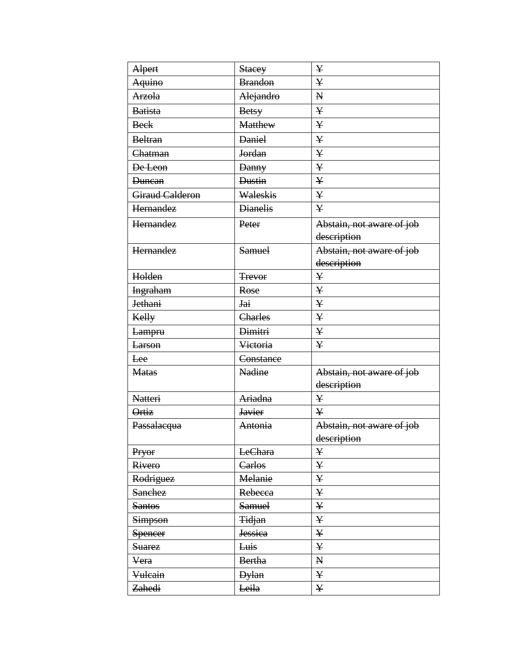| Alpert                 | <b>Stacey</b>   | ¥                         |
|------------------------|-----------------|---------------------------|
| <b>Aquino</b>          | <b>Brandon</b>  | ¥                         |
| <b>Arzola</b>          | Alejandro       | $\mathbf{N}$              |
| <b>Batista</b>         | <b>Betsy</b>    | $\bf Y$                   |
| <b>Beck</b>            | <b>Matthew</b>  | ¥                         |
| <b>Beltran</b>         | <b>Daniel</b>   | ¥                         |
| Chatman                | <b>Jordan</b>   | ¥                         |
| De Leon                | <b>Danny</b>    | ¥                         |
| <b>Duncan</b>          | Dustin          | $\bf Y$                   |
| <b>Giraud Calderon</b> | Waleskis        | ¥                         |
| Hernandez              | <b>Dianelis</b> | ¥                         |
| Hernandez              | Peter           | Abstain, not aware of job |
|                        |                 | description               |
| Hernandez              | <b>Samuel</b>   | Abstain, not aware of job |
|                        |                 | description               |
| Holden                 | <b>Trevor</b>   | ¥                         |
| <b>Ingraham</b>        | Rose            | ¥                         |
| <b>Jethani</b>         | Jai             | ¥                         |
| Kelly                  | Charles         | ¥                         |
| <del>Lampru</del>      | Dimitri         | ¥                         |
| <b>Larson</b>          | Victoria        | ¥                         |
| Lee                    | Constance       |                           |
| <b>Matas</b>           | Nadine          | Abstain, not aware of job |
|                        |                 | description               |
| <b>Natteri</b>         | Ariadna         | ¥                         |
| Ortiz                  | <b>Javier</b>   | ¥                         |
| Passalacqua            | Antonia         | Abstain, not aware of job |
|                        |                 | description               |
| Pryor                  | LeChara         | ¥                         |
| Rivero                 | Carlos          | $\bf Y$                   |
| Rodriguez              | Melanie         | ¥                         |
| <b>Sanchez</b>         | Rebecca         | ¥                         |
| <b>Santos</b>          | <b>Samuel</b>   | ¥                         |
| <b>Simpson</b>         | <b>Tidjan</b>   | ¥                         |
| <b>Spencer</b>         | <b>Jessica</b>  | $\bf Y$                   |
| <b>Suarez</b>          | Luis            | ¥                         |
| Vera                   | <b>Bertha</b>   | ${\bf N}$                 |
| Vulcain                | <b>Dylan</b>    | $\bf Y$                   |
| Zahedi                 | Leila           | $\mathbf{{Y}}$            |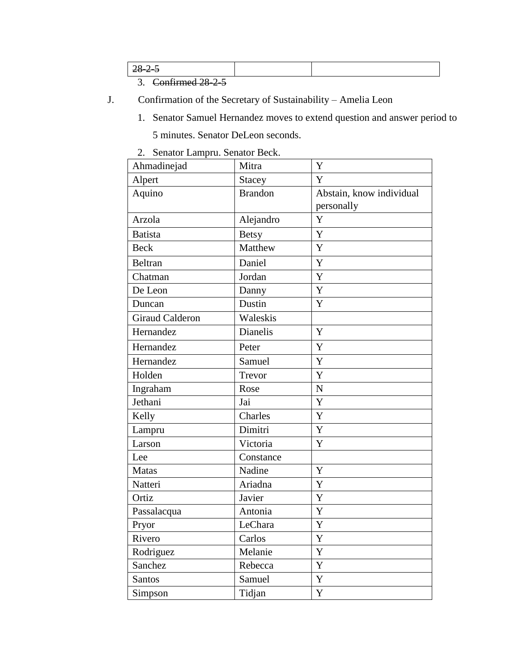| ں سے                                             |  |
|--------------------------------------------------|--|
| $\cap$ $\cap$ $\cap$ $\cap$ $\cap$ $\cap$ $\cap$ |  |

3. Confirmed 28-2-5

- J. Confirmation of the Secretary of Sustainability Amelia Leon
	- 1. Senator Samuel Hernandez moves to extend question and answer period to 5 minutes. Senator DeLeon seconds.
	- 2. Senator Lampru. Senator Beck.

| Ahmadinejad            | Mitra           | Y                        |
|------------------------|-----------------|--------------------------|
| Alpert                 | <b>Stacey</b>   | Y                        |
| Aquino                 | <b>Brandon</b>  | Abstain, know individual |
|                        |                 | personally               |
| Arzola                 | Alejandro       | Y                        |
| <b>Batista</b>         | <b>Betsy</b>    | Y                        |
| <b>Beck</b>            | Matthew         | Y                        |
| Beltran                | Daniel          | Y                        |
| Chatman                | Jordan          | Y                        |
| De Leon                | Danny           | Y                        |
| Duncan                 | Dustin          | Y                        |
| <b>Giraud Calderon</b> | Waleskis        |                          |
| Hernandez              | <b>Dianelis</b> | Y                        |
| Hernandez              | Peter           | Y                        |
| Hernandez              | Samuel          | Y                        |
| Holden                 | Trevor          | Y                        |
| Ingraham               | Rose            | $\mathbf N$              |
| Jethani                | Jai             | Y                        |
| Kelly                  | Charles         | Y                        |
| Lampru                 | Dimitri         | Y                        |
| Larson                 | Victoria        | Y                        |
| Lee                    | Constance       |                          |
| <b>Matas</b>           | Nadine          | Y                        |
| Natteri                | Ariadna         | Y                        |
| Ortiz                  | Javier          | Y                        |
| Passalacqua            | Antonia         | Y                        |
| Pryor                  | LeChara         | Y                        |
| Rivero                 | Carlos          | $\mathbf Y$              |
| Rodriguez              | Melanie         | Y                        |
| Sanchez                | Rebecca         | Y                        |
| Santos                 | Samuel          | Y                        |
| Simpson                | Tidjan          | Y                        |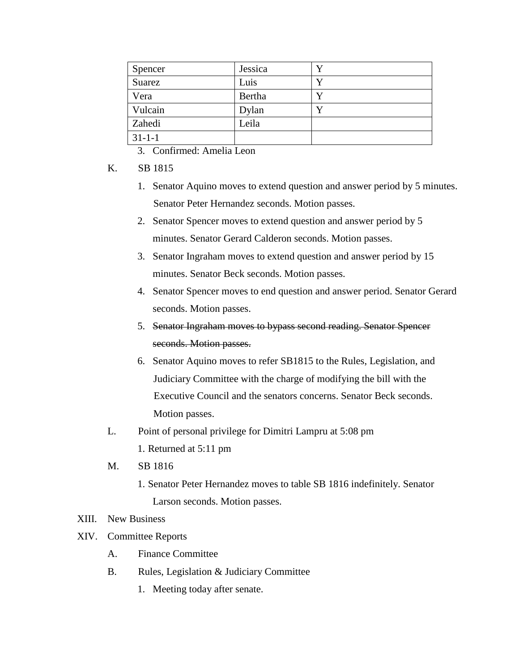| Spencer      | Jessica | v |
|--------------|---------|---|
| Suarez       | Luis    | V |
| Vera         | Bertha  |   |
| Vulcain      | Dylan   | v |
| Zahedi       | Leila   |   |
| $31 - 1 - 1$ |         |   |

3. Confirmed: Amelia Leon

- K. SB 1815
	- 1. Senator Aquino moves to extend question and answer period by 5 minutes. Senator Peter Hernandez seconds. Motion passes.
	- 2. Senator Spencer moves to extend question and answer period by 5 minutes. Senator Gerard Calderon seconds. Motion passes.
	- 3. Senator Ingraham moves to extend question and answer period by 15 minutes. Senator Beck seconds. Motion passes.
	- 4. Senator Spencer moves to end question and answer period. Senator Gerard seconds. Motion passes.
	- 5. Senator Ingraham moves to bypass second reading. Senator Spencer seconds. Motion passes.
	- 6. Senator Aquino moves to refer SB1815 to the Rules, Legislation, and Judiciary Committee with the charge of modifying the bill with the Executive Council and the senators concerns. Senator Beck seconds. Motion passes.
- L. Point of personal privilege for Dimitri Lampru at 5:08 pm
	- 1. Returned at 5:11 pm
- M. SB 1816
	- 1. Senator Peter Hernandez moves to table SB 1816 indefinitely. Senator Larson seconds. Motion passes.

## XIII. New Business

- XIV. Committee Reports
	- A. Finance Committee
	- B. Rules, Legislation & Judiciary Committee
		- 1. Meeting today after senate.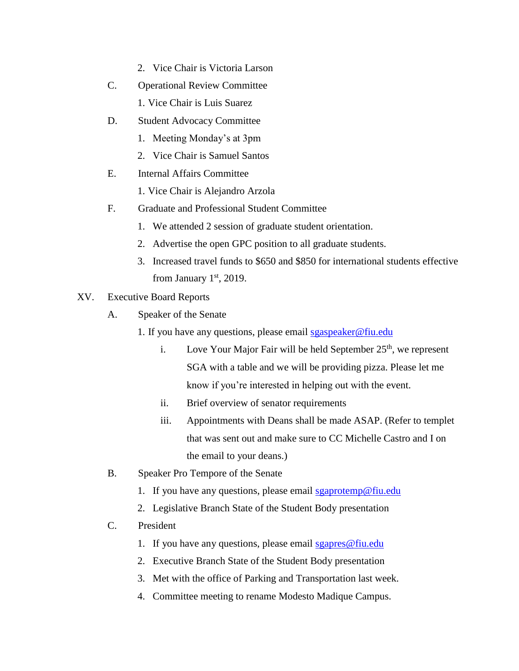- 2. Vice Chair is Victoria Larson
- C. Operational Review Committee
	- 1. Vice Chair is Luis Suarez
- D. Student Advocacy Committee
	- 1. Meeting Monday's at 3pm
	- 2. Vice Chair is Samuel Santos
- E. Internal Affairs Committee
	- 1. Vice Chair is Alejandro Arzola
- F. Graduate and Professional Student Committee
	- 1. We attended 2 session of graduate student orientation.
	- 2. Advertise the open GPC position to all graduate students.
	- 3. Increased travel funds to \$650 and \$850 for international students effective from January  $1<sup>st</sup>$ , 2019.
- XV. Executive Board Reports
	- A. Speaker of the Senate
		- 1. If you have any questions, please email sgaspeaker@fiu.edu
			- i. Love Your Major Fair will be held September  $25<sup>th</sup>$ , we represent SGA with a table and we will be providing pizza. Please let me know if you're interested in helping out with the event.
			- ii. Brief overview of senator requirements
			- iii. Appointments with Deans shall be made ASAP. (Refer to templet that was sent out and make sure to CC Michelle Castro and I on the email to your deans.)
	- B. Speaker Pro Tempore of the Senate
		- 1. If you have any questions, please email sgaprotemp@fiu.edu
		- 2. Legislative Branch State of the Student Body presentation
	- C. President
		- 1. If you have any questions, please email sgapres  $@$  fiu.edu
		- 2. Executive Branch State of the Student Body presentation
		- 3. Met with the office of Parking and Transportation last week.
		- 4. Committee meeting to rename Modesto Madique Campus.